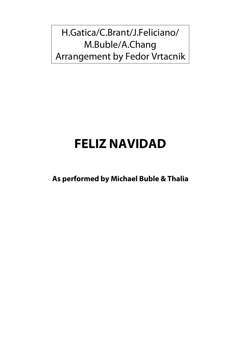H.Gatica/C.Brant/J.Feliciano/ M.Buble/A.Chang Arrangement by Fedor Vrtacnik

## **FELIZ NAVIDAD**

**As performed by Michael Buble & Thalia**